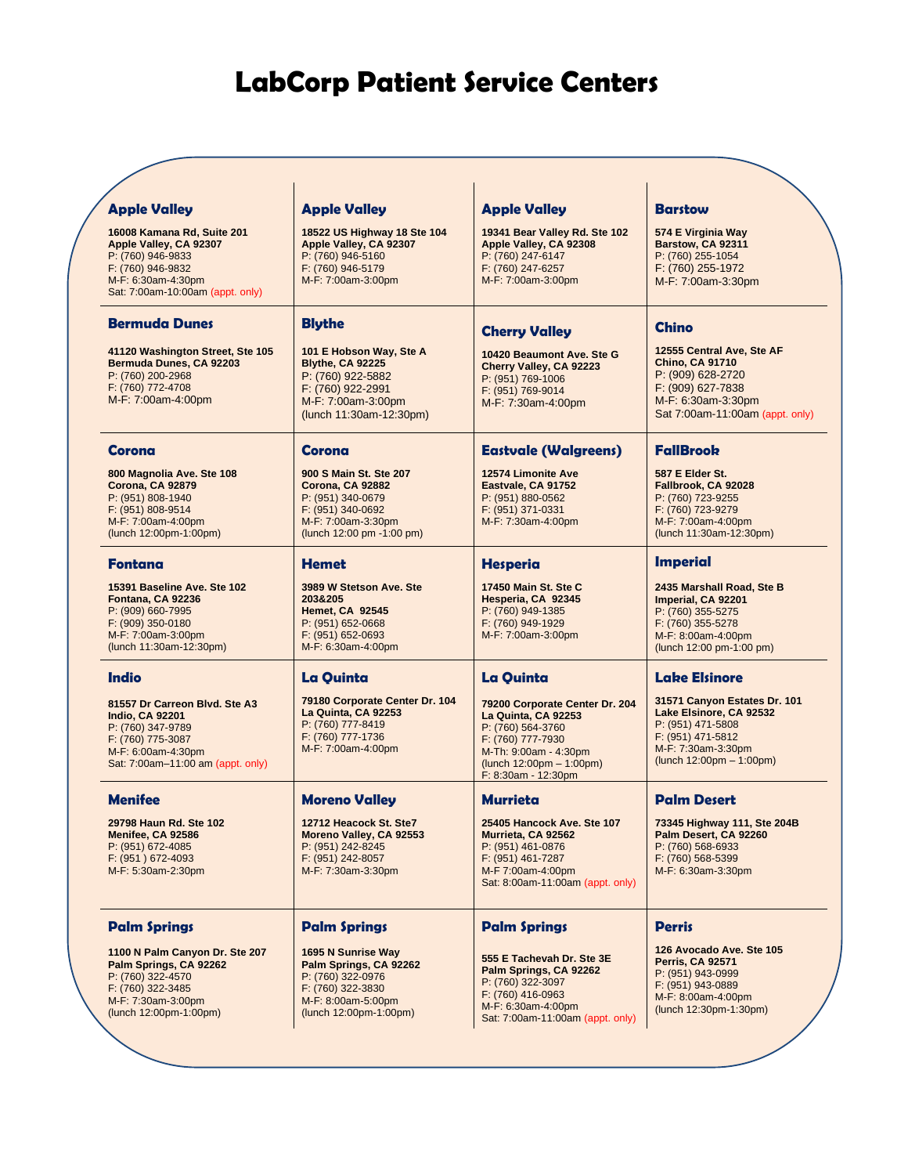## <sup>1</sup> **LabCorp Patient Service Centers**

| <b>Apple Valley</b>                                                                                                                                          | <b>Apple Valley</b>                                                                                                                                                                                                                              | <b>Apple Valley</b>                                                                                                                                                         | <b>Barstow</b>                                                                                                                                         |
|--------------------------------------------------------------------------------------------------------------------------------------------------------------|--------------------------------------------------------------------------------------------------------------------------------------------------------------------------------------------------------------------------------------------------|-----------------------------------------------------------------------------------------------------------------------------------------------------------------------------|--------------------------------------------------------------------------------------------------------------------------------------------------------|
| 16008 Kamana Rd, Suite 201<br>Apple Valley, CA 92307<br>P: (760) 946-9833<br>F: (760) 946-9832<br>M-F: 6:30am-4:30pm<br>Sat: 7:00am-10:00am (appt. only)     | 18522 US Highway 18 Ste 104<br>19341 Bear Valley Rd. Ste 102<br>Apple Valley, CA 92307<br>Apple Valley, CA 92308<br>P: (760) 946-5160<br>P: (760) 247-6147<br>F: (760) 946-5179<br>F: (760) 247-6257<br>M-F: 7:00am-3:00pm<br>M-F: 7:00am-3:00pm |                                                                                                                                                                             | 574 E Virginia Way<br>Barstow, CA 92311<br>P: (760) 255-1054<br>F: (760) 255-1972<br>M-F: 7:00am-3:30pm                                                |
| <b>Bermuda Dunes</b>                                                                                                                                         | <b>Blythe</b>                                                                                                                                                                                                                                    | <b>Cherry Valley</b>                                                                                                                                                        | <b>Chino</b>                                                                                                                                           |
| 41120 Washington Street, Ste 105<br>Bermuda Dunes, CA 92203<br>P: (760) 200-2968<br>F: (760) 772-4708<br>M-F: 7:00am-4:00pm                                  | 101 E Hobson Way, Ste A<br><b>Blythe, CA 92225</b><br>P: (760) 922-5882<br>F: (760) 922-2991<br>M-F: 7:00am-3:00pm<br>(lunch 11:30am-12:30pm)                                                                                                    | 10420 Beaumont Ave. Ste G<br>Cherry Valley, CA 92223<br>P: (951) 769-1006<br>F: (951) 769-9014<br>M-F: 7:30am-4:00pm                                                        | 12555 Central Ave, Ste AF<br><b>Chino, CA 91710</b><br>P: (909) 628-2720<br>F: (909) 627-7838<br>M-F: 6:30am-3:30pm<br>Sat 7:00am-11:00am (appt. only) |
| Corona                                                                                                                                                       | Corona                                                                                                                                                                                                                                           | <b>Eastvale (Walgreens)</b>                                                                                                                                                 | <b>FallBrook</b>                                                                                                                                       |
| 800 Magnolia Ave. Ste 108<br><b>Corona, CA 92879</b><br>P: (951) 808-1940<br>F: (951) 808-9514<br>M-F: 7:00am-4:00pm<br>(lunch 12:00pm-1:00pm)               | 900 S Main St. Ste 207<br>Corona, CA 92882<br>P: (951) 340-0679<br>F: (951) 340-0692<br>M-F: 7:00am-3:30pm<br>(lunch 12:00 pm -1:00 pm)                                                                                                          | 12574 Limonite Ave<br>Eastvale, CA 91752<br>P: (951) 880-0562<br>F: (951) 371-0331<br>M-F: 7:30am-4:00pm                                                                    | 587 E Elder St.<br>Fallbrook, CA 92028<br>P: (760) 723-9255<br>F: (760) 723-9279<br>M-F: 7:00am-4:00pm<br>(lunch 11:30am-12:30pm)                      |
| Fontana                                                                                                                                                      | <b>Hemet</b>                                                                                                                                                                                                                                     | <b>Hesperia</b>                                                                                                                                                             | <b>Imperial</b>                                                                                                                                        |
| 15391 Baseline Ave. Ste 102<br>Fontana, CA 92236<br>P: (909) 660-7995<br>F: (909) 350-0180<br>M-F: 7:00am-3:00pm<br>(lunch 11:30am-12:30pm)                  | 3989 W Stetson Ave. Ste<br>203&205<br><b>Hemet, CA 92545</b><br>P: (951) 652-0668<br>$F: (951) 652-0693$<br>M-F: 6:30am-4:00pm                                                                                                                   | 17450 Main St. Ste C<br>Hesperia, CA 92345<br>P: (760) 949-1385<br>F: (760) 949-1929<br>M-F: 7:00am-3:00pm                                                                  | 2435 Marshall Road, Ste B<br>Imperial, CA 92201<br>P: (760) 355-5275<br>F: (760) 355-5278<br>M-F: 8:00am-4:00pm<br>(lunch 12:00 pm-1:00 pm)            |
| <b>Indio</b>                                                                                                                                                 | La Quinta                                                                                                                                                                                                                                        | La Quinta                                                                                                                                                                   | <b>Lake Elsinore</b>                                                                                                                                   |
| 81557 Dr Carreon Blvd. Ste A3<br><b>Indio, CA 92201</b><br>P: (760) 347-9789<br>F: (760) 775-3087<br>M-F: 6:00am-4:30pm<br>Sat: 7:00am-11:00 am (appt. only) | 79180 Corporate Center Dr. 104<br>La Quinta, CA 92253<br>P: (760) 777-8419<br>F: (760) 777-1736<br>M-F: 7:00am-4:00pm                                                                                                                            | 79200 Corporate Center Dr. 204<br>La Quinta, CA 92253<br>P: (760) 564-3760<br>F: (760) 777-7930<br>M-Th: 9:00am - 4:30pm<br>(lunch 12:00pm - 1:00pm)<br>F: 8:30am - 12:30pm | 31571 Canyon Estates Dr. 101<br>Lake Elsinore, CA 92532<br>P: (951) 471-5808<br>F: (951) 471-5812<br>M-F: 7:30am-3:30pm<br>(lunch 12:00pm - 1:00pm)    |
| <b>Menifee</b>                                                                                                                                               | <b>Moreno Valley</b>                                                                                                                                                                                                                             | <b>Murrieta</b>                                                                                                                                                             | <b>Palm Desert</b>                                                                                                                                     |
| 29798 Haun Rd. Ste 102<br>Menifee, CA 92586<br>P: (951) 672-4085<br>F: (951) 672-4093<br>M-F: 5:30am-2:30pm                                                  | 12712 Heacock St. Ste7<br>Moreno Valley, CA 92553<br>P: (951) 242-8245<br>F: (951) 242-8057<br>M-F: 7:30am-3:30pm                                                                                                                                | 25405 Hancock Ave. Ste 107<br>Murrieta, CA 92562<br>P: (951) 461-0876<br>F: (951) 461-7287<br>M-F 7:00am-4:00pm<br>Sat: 8:00am-11:00am (appt. only)                         | 73345 Highway 111, Ste 204B<br>Palm Desert, CA 92260<br>P: (760) 568-6933<br>F: (760) 568-5399<br>M-F: 6:30am-3:30pm                                   |
| <b>Palm Springs</b>                                                                                                                                          | <b>Palm Springs</b>                                                                                                                                                                                                                              | <b>Palm Springs</b>                                                                                                                                                         | <b>Perris</b>                                                                                                                                          |
| 1100 N Palm Canyon Dr. Ste 207<br>Palm Springs, CA 92262<br>P: (760) 322-4570<br>F: (760) 322-3485<br>M-F: 7:30am-3:00pm<br>(lunch 12:00pm-1:00pm)           | 1695 N Sunrise Way<br>Palm Springs, CA 92262<br>P: (760) 322-0976<br>F: (760) 322-3830<br>M-F: 8:00am-5:00pm<br>(lunch 12:00pm-1:00pm)                                                                                                           | 555 E Tachevah Dr. Ste 3E<br>Palm Springs, CA 92262<br>P: (760) 322-3097<br>F: (760) 416-0963<br>M-F: 6:30am-4:00pm<br>Sat: 7:00am-11:00am (appt. only)                     | 126 Avocado Ave. Ste 105<br><b>Perris, CA 92571</b><br>P: (951) 943-0999<br>F: (951) 943-0889<br>M-F: 8:00am-4:00pm<br>(lunch 12:30pm-1:30pm)          |